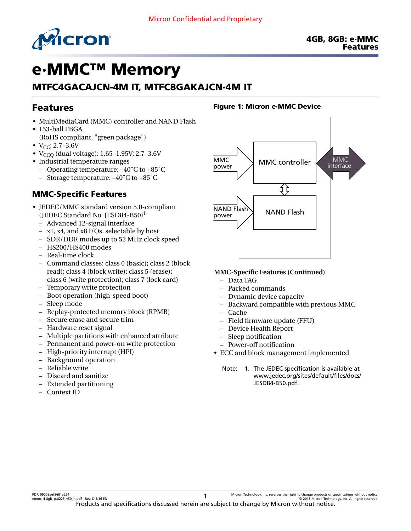

# e·MMC™ Memory

# MTFC4GACAJCN-4M IT, MTFC8GAKAJCN-4M IT

# Features

- MultiMediaCard (MMC) controller and NAND Flash
- 153-ball FBGA (RoHS compliant, "green package")
- $V_{CC}$ : 2.7–3.6V
- $V_{CCO}$  (dual voltage): 1.65–1.95V; 2.7–3.6V
- Industrial temperature ranges
	- Operating temperature: –40˚C to +85˚C
	- Storage temperature: –40˚C to +85˚C

### MMC-Specific Features

- JEDEC/MMC standard version 5.0-compliant (JEDEC Standard No. JESD84-B50)<sup>1</sup>
	- Advanced 12-signal interface
	- x1, x4, and x8 I/Os, selectable by host
	- SDR/DDR modes up to 52 MHz clock speed
	- HS200/HS400 modes
	- Real-time clock
	- Command classes: class 0 (basic); class 2 (block read); class 4 (block write); class 5 (erase); class 6 (write protection); class 7 (lock card)
	- Temporary write protection
	- Boot operation (high-speed boot)
	- Sleep mode
	- Replay-protected memory block (RPMB)
	- Secure erase and secure trim
	- Hardware reset signal
	- Multiple partitions with enhanced attribute
	- Permanent and power-on write protection
	- High-priority interrupt (HPI)
	- Background operation
	- Reliable write
	- Discard and sanitize
	- Extended partitioning
	- Context ID

#### Figure 1: Micron *e*·MMC Device



#### **MMC-Specific Features (Continued)**

- Data TAG
- Packed commands
- Dynamic device capacity
- Backward compatible with previous MMC
- Cache
- Field firmware update (FFU)
- Device Health Report
- Sleep notification
- Power-off notification
- ECC and block management implemented
	- Note: 1. The JEDEC specification is available at [www.jedec.org/sites/default/files/docs/](http://www.jedec.org/sites/default/files/docs/JESD84-B50.pdf) [JESD84-B50.pdf](http://www.jedec.org/sites/default/files/docs/JESD84-B50.pdf).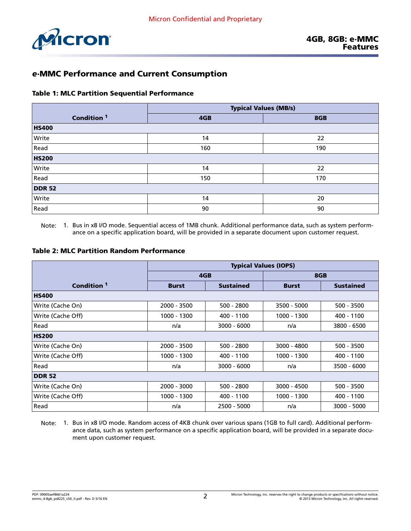

### *e*·MMC Performance and Current Consumption

#### Table 1: MLC Partition Sequential Performance

|                        | <b>Typical Values (MB/s)</b> |     |  |  |  |
|------------------------|------------------------------|-----|--|--|--|
| Condition <sup>1</sup> | 4GB                          | 8GB |  |  |  |
| <b>HS400</b>           |                              |     |  |  |  |
| Write                  | 14                           | 22  |  |  |  |
| Read                   | 160                          | 190 |  |  |  |
| <b>HS200</b>           |                              |     |  |  |  |
| Write                  | 14                           | 22  |  |  |  |
| Read                   | 150                          | 170 |  |  |  |
| <b>DDR 52</b>          |                              |     |  |  |  |
| Write                  | 14                           | 20  |  |  |  |
| Read                   | 90                           | 90  |  |  |  |

Note: 1. Bus in x8 I/O mode. Sequential access of 1MB chunk. Additional performance data, such as system performance on a specific application board, will be provided in a separate document upon customer request.

#### Table 2: MLC Partition Random Performance

|                        | <b>Typical Values (IOPS)</b> |                  |              |                  |  |  |  |
|------------------------|------------------------------|------------------|--------------|------------------|--|--|--|
|                        |                              | 4GB              |              | 8GB              |  |  |  |
| Condition <sup>1</sup> | <b>Burst</b>                 | <b>Sustained</b> | <b>Burst</b> | <b>Sustained</b> |  |  |  |
| <b>HS400</b>           |                              |                  |              |                  |  |  |  |
| Write (Cache On)       | 2000 - 3500                  | $500 - 2800$     | 3500 - 5000  | $500 - 3500$     |  |  |  |
| Write (Cache Off)      | 1000 - 1300                  | 400 - 1100       | 1000 - 1300  | 400 - 1100       |  |  |  |
| Read                   | n/a                          | $3000 - 6000$    | n/a          | 3800 - 6500      |  |  |  |
| <b>HS200</b>           |                              |                  |              |                  |  |  |  |
| Write (Cache On)       | 2000 - 3500                  | $500 - 2800$     | 3000 - 4800  | $500 - 3500$     |  |  |  |
| Write (Cache Off)      | 1000 - 1300                  | 400 - 1100       | 1000 - 1300  | 400 - 1100       |  |  |  |
| Read                   | n/a                          | $3000 - 6000$    | n/a          | 3500 - 6000      |  |  |  |
| <b>DDR 52</b>          |                              |                  |              |                  |  |  |  |
| Write (Cache On)       | 2000 - 3000                  | $500 - 2800$     | 3000 - 4500  | 500 - 3500       |  |  |  |
| Write (Cache Off)      | 1000 - 1300                  | 400 - 1100       | 1000 - 1300  | 400 - 1100       |  |  |  |
| Read                   | n/a                          | 2500 - 5000      | n/a          | 3000 - 5000      |  |  |  |

Note: 1. Bus in x8 I/O mode. Random access of 4KB chunk over various spans (1GB to full card). Additional performance data, such as system performance on a specific application board, will be provided in a separate document upon customer request.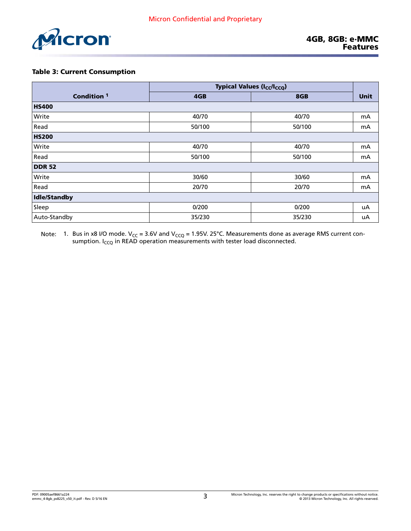

#### Table 3: Current Consumption

|                        |        | <b>Typical Values (I<sub>CC</sub>/I<sub>CCQ</sub>)</b> |             |
|------------------------|--------|--------------------------------------------------------|-------------|
| Condition <sup>1</sup> | 4GB    | 8GB                                                    | <b>Unit</b> |
| <b>HS400</b>           |        |                                                        |             |
| Write                  | 40/70  | 40/70                                                  | mA          |
| Read                   | 50/100 | 50/100                                                 | mA          |
| <b>HS200</b>           |        |                                                        |             |
| Write                  | 40/70  | 40/70                                                  | mA          |
| Read                   | 50/100 | 50/100                                                 | mA          |
| <b>DDR 52</b>          |        |                                                        |             |
| Write                  | 30/60  | 30/60                                                  | mA          |
| Read                   | 20/70  | 20/70                                                  | mA          |
| Idle/Standby           |        |                                                        |             |
| Sleep                  | 0/200  | 0/200                                                  | uA          |
| Auto-Standby           | 35/230 | 35/230                                                 | uA          |

Note:  $\:$  1. Bus in x8 I/O mode. V<sub>CC</sub> = 3.6V and V<sub>CCQ</sub> = 1.95V. 25°C. Measurements done as average RMS current consumption. I<sub>CCQ</sub> in READ operation measurements with tester load disconnected.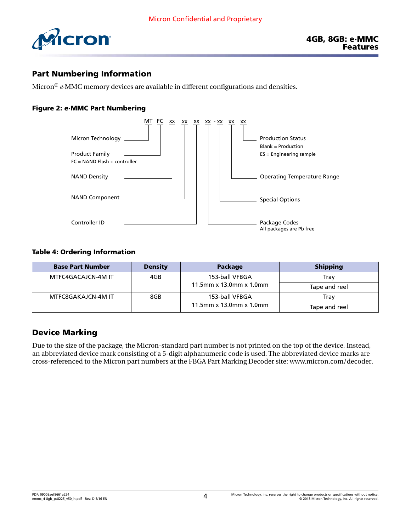

### Part Numbering Information

Micron® *e*·MMC memory devices are available in different configurations and densities.

#### Figure 2: *e*·MMC Part Numbering



#### Table 4: Ordering Information

| <b>Base Part Number</b> | <b>Density</b> | <b>Package</b>              | <b>Shipping</b> |
|-------------------------|----------------|-----------------------------|-----------------|
| MTFC4GACAJCN-4M IT      | 4GB            | 153-ball VFBGA              | Trav            |
|                         |                | 11.5mm x 13.0mm x 1.0mm     | Tape and reel   |
| MTFC8GAKAJCN-4M IT      | 8GB            | 153-ball VFBGA              | Trav            |
|                         |                | 11.5mm $x$ 13.0mm $x$ 1.0mm | Tape and reel   |

### Device Marking

Due to the size of the package, the Micron-standard part number is not printed on the top of the device. Instead, an abbreviated device mark consisting of a 5-digit alphanumeric code is used. The abbreviated device marks are cross-referenced to the Micron part numbers at the FBGA Part Marking Decoder site: [www.micron.com/decoder.](http://www.micron.com/decoder)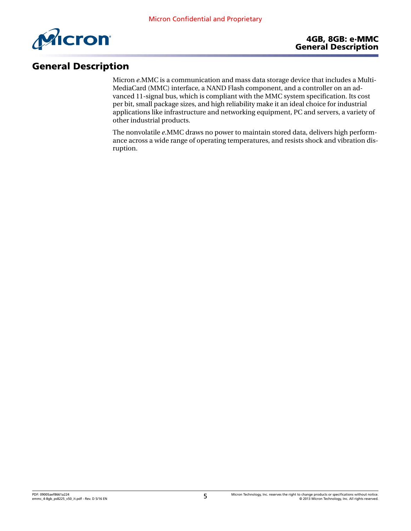

# General Description

Micron *e*.MMC is a communication and mass data storage device that includes a Multi-MediaCard (MMC) interface, a NAND Flash component, and a controller on an advanced 11-signal bus, which is compliant with the MMC system specification. Its cost per bit, small package sizes, and high reliability make it an ideal choice for industrial applications like infrastructure and networking equipment, PC and servers, a variety of other industrial products.

The nonvolatile *e*.MMC draws no power to maintain stored data, delivers high performance across a wide range of operating temperatures, and resists shock and vibration disruption.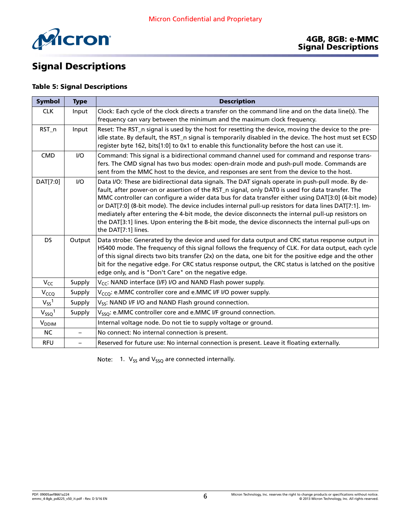

# Signal Descriptions

#### Table 5: Signal Descriptions

| Symbol                   | <b>Type</b>              | <b>Description</b>                                                                                                                                                                                                                                                                                                                                                                                                                                                                                                                                                                                                                                    |
|--------------------------|--------------------------|-------------------------------------------------------------------------------------------------------------------------------------------------------------------------------------------------------------------------------------------------------------------------------------------------------------------------------------------------------------------------------------------------------------------------------------------------------------------------------------------------------------------------------------------------------------------------------------------------------------------------------------------------------|
| <b>CLK</b>               | Input                    | Clock: Each cycle of the clock directs a transfer on the command line and on the data line(s). The<br>frequency can vary between the minimum and the maximum clock frequency.                                                                                                                                                                                                                                                                                                                                                                                                                                                                         |
| RST_n                    | Input                    | Reset: The RST_n signal is used by the host for resetting the device, moving the device to the pre-<br>idle state. By default, the RST_n signal is temporarily disabled in the device. The host must set ECSD<br>register byte 162, bits[1:0] to 0x1 to enable this functionality before the host can use it.                                                                                                                                                                                                                                                                                                                                         |
| <b>CMD</b>               | I/O                      | Command: This signal is a bidirectional command channel used for command and response trans-<br>fers. The CMD signal has two bus modes: open-drain mode and push-pull mode. Commands are<br>sent from the MMC host to the device, and responses are sent from the device to the host.                                                                                                                                                                                                                                                                                                                                                                 |
| DAT[7:0]                 | I/O                      | Data I/O: These are bidirectional data signals. The DAT signals operate in push-pull mode. By de-<br>fault, after power-on or assertion of the RST_n signal, only DAT0 is used for data transfer. The<br>MMC controller can configure a wider data bus for data transfer either using DAT[3:0] (4-bit mode)<br>or DAT[7:0] (8-bit mode). The device includes internal pull-up resistors for data lines DAT[7:1]. Im-<br>mediately after entering the 4-bit mode, the device disconnects the internal pull-up resistors on<br>the DAT[3:1] lines. Upon entering the 8-bit mode, the device disconnects the internal pull-ups on<br>the DAT[7:1] lines. |
| <b>DS</b>                | Output                   | Data strobe: Generated by the device and used for data output and CRC status response output in<br>HS400 mode. The frequency of this signal follows the frequency of CLK. For data output, each cycle<br>of this signal directs two bits transfer (2x) on the data, one bit for the positive edge and the other<br>bit for the negative edge. For CRC status response output, the CRC status is latched on the positive<br>edge only, and is "Don't Care" on the negative edge.                                                                                                                                                                       |
| V <sub>CC</sub>          | Supply                   | V <sub>CC</sub> : NAND interface (I/F) I/O and NAND Flash power supply.                                                                                                                                                                                                                                                                                                                                                                                                                                                                                                                                                                               |
| V <sub>CCQ</sub>         | Supply                   | V <sub>CCQ</sub> : e.MMC controller core and e.MMC I/F I/O power supply.                                                                                                                                                                                                                                                                                                                                                                                                                                                                                                                                                                              |
| $V_{SS}$ <sup>1</sup>    | Supply                   | V <sub>SS</sub> : NAND I/F I/O and NAND Flash ground connection.                                                                                                                                                                                                                                                                                                                                                                                                                                                                                                                                                                                      |
| $V_{SSQ}$ <sup>1</sup>   | Supply                   | V <sub>SSO</sub> : e.MMC controller core and e.MMC I/F ground connection.                                                                                                                                                                                                                                                                                                                                                                                                                                                                                                                                                                             |
| <b>V</b> <sub>DDIM</sub> |                          | Internal voltage node. Do not tie to supply voltage or ground.                                                                                                                                                                                                                                                                                                                                                                                                                                                                                                                                                                                        |
| <b>NC</b>                | $\qquad \qquad -$        | No connect: No internal connection is present.                                                                                                                                                                                                                                                                                                                                                                                                                                                                                                                                                                                                        |
| <b>RFU</b>               | $\overline{\phantom{0}}$ | Reserved for future use: No internal connection is present. Leave it floating externally.                                                                                                                                                                                                                                                                                                                                                                                                                                                                                                                                                             |

Note: 1.  $V_{SS}$  and  $V_{SSQ}$  are connected internally.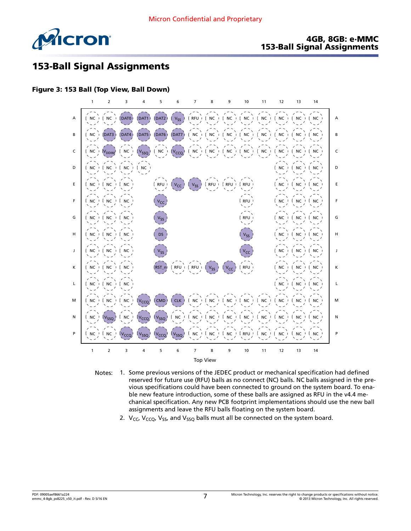

#### 4GB, 8GB: e·MMC 153-Ball Signal Assignments

# 153-Ball Signal Assignments

#### Figure 3: 153 Ball (Top View, Ball Down)



- Notes: 1. Some previous versions of the JEDEC product or mechanical specification had defined reserved for future use (RFU) balls as no connect (NC) balls. NC balls assigned in the previous specifications could have been connected to ground on the system board. To enable new feature introduction, some of these balls are assigned as RFU in the v4.4 mechanical specification. Any new PCB footprint implementations should use the new ball assignments and leave the RFU balls floating on the system board.
	- 2.  $V_{CC}$ ,  $V_{CCO}$ ,  $V_{SS}$ , and  $V_{SSO}$  balls must all be connected on the system board.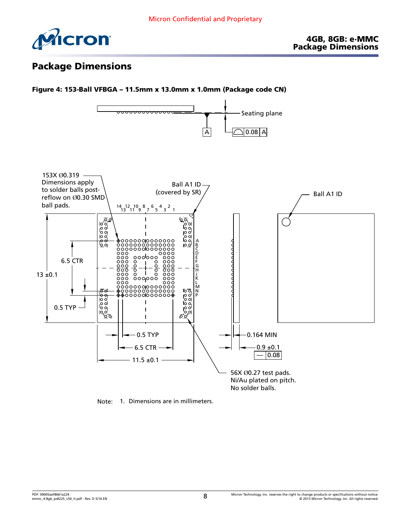

# Package Dimensions



Note: 1. Dimensions are in millimeters.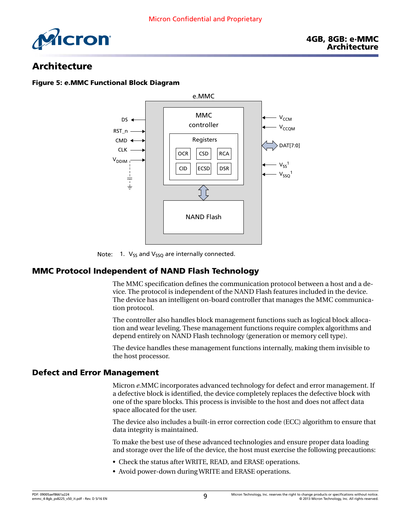

### Architecture

#### Figure 5: *e*.MMC Functional Block Diagram



Note: 1.  $V_{SS}$  and  $V_{SSQ}$  are internally connected.

### MMC Protocol Independent of NAND Flash Technology

The MMC specification defines the communication protocol between a host and a device. The protocol is independent of the NAND Flash features included in the device. The device has an intelligent on-board controller that manages the MMC communication protocol.

The controller also handles block management functions such as logical block allocation and wear leveling. These management functions require complex algorithms and depend entirely on NAND Flash technology (generation or memory cell type).

The device handles these management functions internally, making them invisible to the host processor.

#### Defect and Error Management

Micron *e*.MMC incorporates advanced technology for defect and error management. If a defective block is identified, the device completely replaces the defective block with one of the spare blocks. This process is invisible to the host and does not affect data space allocated for the user.

The device also includes a built-in error correction code (ECC) algorithm to ensure that data integrity is maintained.

To make the best use of these advanced technologies and ensure proper data loading and storage over the life of the device, the host must exercise the following precautions:

- Check the status after WRITE, READ, and ERASE operations.
- Avoid power-down during WRITE and ERASE operations.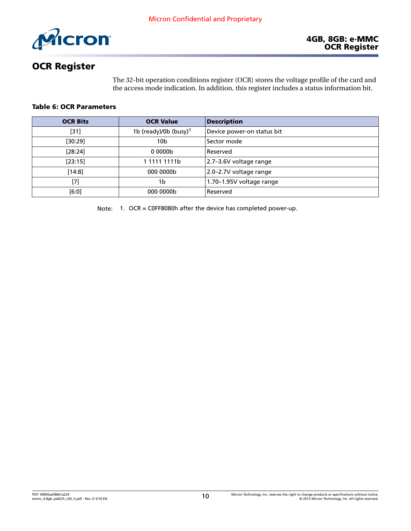

# OCR Register

The 32-bit operation conditions register (OCR) stores the voltage profile of the card and the access mode indication. In addition, this register includes a status information bit.

#### Table 6: OCR Parameters

| <b>OCR Bits</b> | <b>OCR Value</b>                  | <b>Description</b>          |
|-----------------|-----------------------------------|-----------------------------|
| $[31]$          | 1b (ready)/0b (busy) <sup>1</sup> | Device power-on status bit  |
| [30:29]         | 10b                               | Sector mode                 |
| [28:24]         | 00000 <sub>b</sub>                | Reserved                    |
| [23:15]         | 1 1111 1111b                      | 2.7-3.6V voltage range      |
| $[14:8]$        | 000 0000b                         | $ 2.0 - 2.7V$ voltage range |
| [7]             | 1b                                | 1.70-1.95V voltage range    |
| [6:0]           | 000 0000b                         | Reserved                    |

Note: 1. OCR = C0FF8080h after the device has completed power-up.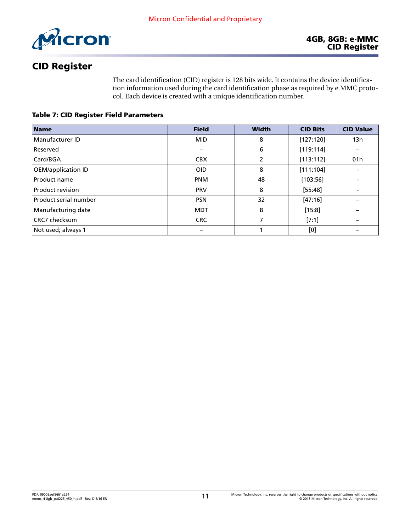

# CID Register

The card identification (CID) register is 128 bits wide. It contains the device identification information used during the card identification phase as required by e.MMC protocol. Each device is created with a unique identification number.

Table 7: CID Register Field Parameters

| <b>Name</b>               | <b>Field</b> | <b>Width</b> | <b>CID Bits</b> | <b>CID Value</b>         |
|---------------------------|--------------|--------------|-----------------|--------------------------|
| Manufacturer ID           | <b>MID</b>   | 8            | [127:120]       | 13h                      |
| Reserved                  |              | 6            | [119:114]       |                          |
| Card/BGA                  | <b>CBX</b>   | 2            | [113:112]       | 01h                      |
| <b>OEM/application ID</b> | <b>OID</b>   | 8            | [111:104]       |                          |
| Product name              | <b>PNM</b>   | 48           | [103:56]        | $\overline{\phantom{a}}$ |
| Product revision          | <b>PRV</b>   | 8            | [55:48]         |                          |
| Product serial number     | <b>PSN</b>   | 32           | [47:16]         |                          |
| Manufacturing date        | <b>MDT</b>   | 8            | [15:8]          |                          |
| CRC7 checksum             | <b>CRC</b>   | 7            | [7:1]           |                          |
| Not used; always 1        |              |              | [0]             |                          |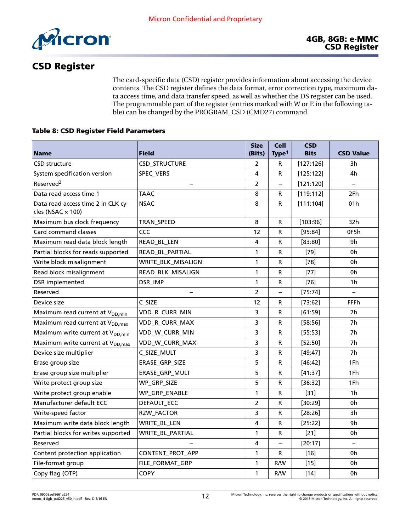

# CSD Register

The card-specific data (CSD) register provides information about accessing the device contents. The CSD register defines the data format, error correction type, maximum data access time, and data transfer speed, as well as whether the DS register can be used. The programmable part of the register (entries marked with W or E in the following table) can be changed by the PROGRAM\_CSD (CMD27) command.

#### Table 8: CSD Register Field Parameters

|                                                                | <b>Field</b>         | <b>Size</b>    | <b>Cell</b>              | <b>CSD</b><br><b>Bits</b> |                          |
|----------------------------------------------------------------|----------------------|----------------|--------------------------|---------------------------|--------------------------|
| <b>Name</b>                                                    |                      | (Bits)         | Type <sup>1</sup>        |                           | <b>CSD Value</b>         |
| <b>CSD structure</b>                                           | <b>CSD_STRUCTURE</b> | $\overline{2}$ | R                        | [127:126]                 | 3h                       |
| System specification version                                   | SPEC_VERS            | 4              | R                        | [125:122]                 | 4h                       |
| Reserved <sup>2</sup>                                          |                      | 2              | $\overline{\phantom{0}}$ | [121:120]                 | $\overline{\phantom{m}}$ |
| Data read access time 1                                        | <b>TAAC</b>          | 8              | R                        | [119:112]                 | 2Fh                      |
| Data read access time 2 in CLK cy-<br>cles (NSAC $\times$ 100) | <b>NSAC</b>          | 8              | R                        | [111:104]                 | 01h                      |
| Maximum bus clock frequency                                    | TRAN_SPEED           | 8              | R                        | [103:96]                  | 32h                      |
| Card command classes                                           | CCC                  | 12             | R                        | [95:84]                   | 0F5h                     |
| Maximum read data block length                                 | READ_BL_LEN          | 4              | R                        | [83:80]                   | 9h                       |
| Partial blocks for reads supported                             | READ_BL_PARTIAL      | 1              | ${\sf R}$                | $[79]$                    | 0h                       |
| Write block misalignment                                       | WRITE_BLK_MISALIGN   | $\mathbf{1}$   | R                        | $[78]$                    | 0h                       |
| Read block misalignment                                        | READ_BLK_MISALIGN    | 1              | R                        | $[77]$                    | 0h                       |
| DSR implemented                                                | DSR_IMP              | 1              | R                        | $[76]$                    | 1h                       |
| Reserved                                                       |                      | $\overline{2}$ | $\overline{\phantom{0}}$ | [75:74]                   |                          |
| Device size                                                    | C_SIZE               | 12             | R                        | [73:62]                   | FFFh                     |
| Maximum read current at V <sub>DD.min</sub>                    | VDD_R_CURR_MIN       | 3              | R                        | [61:59]                   | 7h                       |
| Maximum read current at V <sub>DD, max</sub>                   | VDD_R_CURR_MAX       | 3              | R                        | [58:56]                   | 7h                       |
| Maximum write current at V <sub>DD,min</sub>                   | VDD_W_CURR_MIN       | 3              | R                        | [55:53]                   | 7h                       |
| Maximum write current at V <sub>DD, max</sub>                  | VDD_W_CURR_MAX       | 3              | R                        | [52:50]                   | 7h                       |
| Device size multiplier                                         | C_SIZE_MULT          | 3              | R                        | [49:47]                   | 7 <sub>h</sub>           |
| Erase group size                                               | ERASE_GRP_SIZE       | 5              | R                        | [46:42]                   | 1Fh                      |
| Erase group size multiplier                                    | ERASE_GRP_MULT       | 5              | R                        | [41:37]                   | 1Fh                      |
| Write protect group size                                       | WP_GRP_SIZE          | 5              | R                        | [36:32]                   | 1Fh                      |
| Write protect group enable                                     | WP_GRP_ENABLE        | $\mathbf{1}$   | R                        | $[31]$                    | 1 <sub>h</sub>           |
| Manufacturer default ECC                                       | DEFAULT_ECC          | $\overline{2}$ | R                        | [30:29]                   | 0h                       |
| Write-speed factor                                             | R2W_FACTOR           | 3              | R                        | [28:26]                   | 3h                       |
| Maximum write data block length                                | WRITE_BL_LEN         | 4              | R                        | [25:22]                   | 9h                       |
| Partial blocks for writes supported                            | WRITE_BL_PARTIAL     | $\mathbf{1}$   | R                        | $[21]$                    | 0h                       |
| Reserved                                                       |                      | 4              | $\overline{\phantom{0}}$ | [20:17]                   |                          |
| Content protection application                                 | CONTENT_PROT_APP     | 1              | R                        | $[16]$                    | 0h                       |
| File-format group                                              | FILE FORMAT GRP      | 1              | R/W                      | $[15]$                    | 0h                       |
| Copy flag (OTP)                                                | <b>COPY</b>          | 1              | R/W                      | $[14]$                    | 0h                       |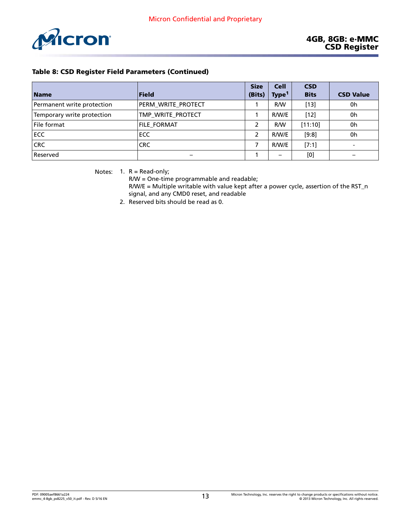<span id="page-12-0"></span>

| <b>Name</b>                | <b>Field</b>             | <b>Size</b><br>(Bits) | <b>Cell</b><br>Type <sup>1</sup> | <b>CSD</b><br><b>Bits</b> | <b>CSD Value</b> |
|----------------------------|--------------------------|-----------------------|----------------------------------|---------------------------|------------------|
| Permanent write protection | PERM WRITE PROTECT       |                       | R/W                              | $[13]$                    | 0h               |
| Temporary write protection | TMP_WRITE_PROTECT        |                       | R/W/E                            | $[12]$                    | 0h               |
| File format                | FILE_FORMAT              | 2                     | R/W                              | [11:10]                   | 0h               |
| <b>ECC</b>                 | ECC                      | $\overline{2}$        | R/W/E                            | [9:8]                     | 0h               |
| <b>CRC</b>                 | <b>CRC</b>               |                       | R/W/E                            | [7:1]                     |                  |
| Reserved                   | $\overline{\phantom{m}}$ |                       | —                                | [0]                       |                  |

Notes:  $1. R = Read-only;$ 

R/W = One-time programmable and readable;

R/W/E = Multiple writable with value kept after a power cycle, assertion of the RST\_n signal, and any CMD0 reset, and readable

2. Reserved bits should be read as 0.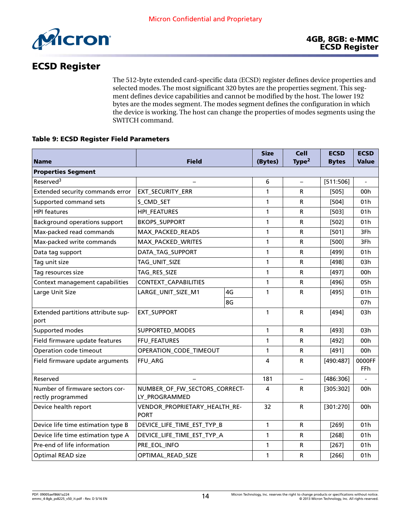

## ECSD Register

The 512-byte extended card-specific data (ECSD) register defines device properties and selected modes. The most significant 320 bytes are the properties segment. This segment defines device capabilities and cannot be modified by the host. The lower 192 bytes are the modes segment. The modes segment defines the configuration in which the device is working. The host can change the properties of modes segments using the SWITCH command.

#### Table 9: ECSD Register Field Parameters

|                                                      |                                                |    | <b>Size</b>  | <b>Cell</b>       | <b>ECSD</b>  | <b>ECSD</b>     |
|------------------------------------------------------|------------------------------------------------|----|--------------|-------------------|--------------|-----------------|
| <b>Name</b>                                          | Field                                          |    | (Bytes)      | Type <sup>2</sup> | <b>Bytes</b> | <b>Value</b>    |
| <b>Properties Segment</b>                            |                                                |    |              |                   |              |                 |
| Reserved <sup>3</sup>                                |                                                |    | 6            |                   | [511:506]    |                 |
| Extended security commands error                     | EXT_SECURITY_ERR                               |    | 1            | R                 | $[505]$      | 00h             |
| Supported command sets                               | S_CMD_SET                                      |    | 1            | R                 | $[504]$      | 01h             |
| <b>HPI</b> features                                  | <b>HPI_FEATURES</b>                            |    | 1            | R                 | $[503]$      | 01h             |
| Background operations support                        | <b>BKOPS_SUPPORT</b>                           |    | $\mathbf{1}$ | R                 | $[502]$      | 01h             |
| Max-packed read commands                             | MAX_PACKED_READS                               |    | 1            | R                 | $[501]$      | 3Fh             |
| Max-packed write commands                            | MAX_PACKED_WRITES                              |    | 1            | R                 | $[500]$      | 3Fh             |
| Data tag support                                     | DATA_TAG_SUPPORT                               |    | 1            | R                 | $[499]$      | 01h             |
| Tag unit size                                        | TAG_UNIT_SIZE                                  |    | 1            | R                 | [498]        | 03h             |
| Tag resources size                                   | TAG_RES_SIZE                                   |    | 1            | R                 | [497]        | 00h             |
| Context management capabilities                      | CONTEXT_CAPABILITIES                           |    | 1            | R                 | [496]        | 05h             |
| Large Unit Size                                      | LARGE_UNIT_SIZE_M1                             | 4G | 1            | R                 | [495]        | 01h             |
|                                                      |                                                | 8G |              |                   |              | 07h             |
| Extended partitions attribute sup-<br>port           | <b>EXT_SUPPORT</b>                             |    | 1            | R                 | $[494]$      | 03h             |
| Supported modes                                      | SUPPORTED_MODES                                |    | 1            | R                 | [493]        | 03h             |
| Field firmware update features                       | FFU_FEATURES                                   |    | 1            | R                 | $[492]$      | 00 <sub>h</sub> |
| Operation code timeout                               | OPERATION_CODE_TIMEOUT                         |    | 1            | R                 | [491]        | 00h             |
| Field firmware update arguments                      | FFU_ARG                                        |    | 4            | R                 | [490:487]    | 0000FF<br>FFh   |
| Reserved                                             |                                                |    | 181          | $\qquad \qquad -$ | [486:306]    |                 |
| Number of firmware sectors cor-<br>rectly programmed | NUMBER_OF_FW_SECTORS_CORRECT-<br>LY_PROGRAMMED |    | 4            | R                 | [305:302]    | 00h             |
| Device health report                                 | VENDOR_PROPRIETARY_HEALTH_RE-<br><b>PORT</b>   |    | 32           | R                 | [301:270]    | 00h             |
| Device life time estimation type B                   | DEVICE_LIFE_TIME_EST_TYP_B                     |    | $\mathbf{1}$ | R                 | $[269]$      | 01h             |
| Device life time estimation type A                   | DEVICE_LIFE_TIME_EST_TYP_A                     |    | $\mathbf{1}$ | R                 | [268]        | 01h             |
| Pre-end of life information                          | PRE_EOL_INFO                                   |    | 1            | R                 | $[267]$      | 01 <sub>h</sub> |
| Optimal READ size                                    | OPTIMAL_READ_SIZE                              |    | 1            | R                 | $[266]$      | 01h             |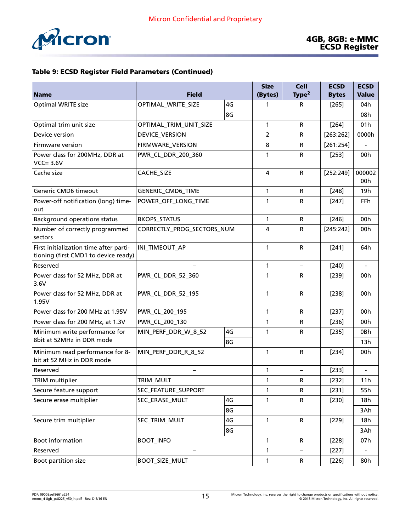

| <b>Name</b>                                                                    | <b>Field</b>               |          | <b>Size</b><br>(Bytes) | <b>Cell</b><br>Type <sup>2</sup> | <b>ECSD</b><br><b>Bytes</b> | <b>ECSD</b><br><b>Value</b> |
|--------------------------------------------------------------------------------|----------------------------|----------|------------------------|----------------------------------|-----------------------------|-----------------------------|
| Optimal WRITE size                                                             | OPTIMAL_WRITE_SIZE         | 4G       | 1                      | R                                |                             | 04h                         |
|                                                                                |                            | 8G       |                        |                                  | $[265]$                     | 08h                         |
| Optimal trim unit size                                                         | OPTIMAL_TRIM_UNIT_SIZE     |          | 1                      | $\mathsf{R}$                     | $[264]$                     | 01h                         |
| Device version                                                                 | DEVICE_VERSION             |          | $\overline{2}$         | $\mathsf{R}$                     | [263:262]                   | 0000h                       |
| Firmware version                                                               | FIRMWARE_VERSION           |          | 8                      | $\mathsf R$                      | [261:254]                   |                             |
| Power class for 200MHz, DDR at<br>$VCC = 3.6V$                                 | PWR_CL_DDR_200_360         |          | 1                      | $\mathsf R$                      | $[253]$                     | 00h                         |
| Cache size                                                                     | CACHE_SIZE                 |          | $\overline{a}$         | $\mathsf{R}$                     | [252:249]                   | 000002<br>00h               |
| Generic CMD6 timeout                                                           | GENERIC_CMD6_TIME          |          | $\mathbf{1}$           | $\mathsf{R}$                     | $[248]$                     | 19 <sub>h</sub>             |
| Power-off notification (long) time-<br>out                                     | POWER_OFF_LONG_TIME        |          | 1                      | $\mathsf R$                      | $[247]$                     | <b>FFh</b>                  |
| <b>Background operations status</b>                                            | <b>BKOPS_STATUS</b>        |          | $\mathbf{1}$           | $\mathsf{R}$                     | $[246]$                     | 00h                         |
| Number of correctly programmed<br>sectors                                      | CORRECTLY_PROG_SECTORS_NUM |          | 4                      | $\mathsf{R}$                     | [245:242]                   | 00h                         |
| First initialization time after parti-<br>tioning (first CMD1 to device ready) | INI_TIMEOUT_AP             |          | 1                      | $\mathsf{R}$                     | [241]                       | 64h                         |
| Reserved                                                                       |                            |          | 1                      | $\qquad \qquad -$                | $[240]$                     | $\overline{a}$              |
| Power class for 52 MHz, DDR at<br>3.6V                                         | PWR_CL_DDR_52_360          |          | 1                      | $\mathsf{R}$                     | $[239]$                     | 00h                         |
| Power class for 52 MHz, DDR at<br>1.95V                                        | PWR_CL_DDR_52_195          |          | $\mathbf{1}$           | $\mathsf{R}$                     | $[238]$                     | 00h                         |
| Power class for 200 MHz at 1.95V                                               | PWR_CL_200_195             |          | 1                      | $\mathsf{R}$                     | [237]                       | 00h                         |
| Power class for 200 MHz, at 1.3V                                               | PWR_CL_200_130             |          | 1                      | $\mathsf R$                      | $[236]$                     | 00h                         |
| Minimum write performance for<br>8bit at 52MHz in DDR mode                     | MIN_PERF_DDR_W_8_52        | 4G<br>8G | 1                      | $\mathsf{R}$                     | $[235]$                     | 0Bh<br>13h                  |
| Minimum read performance for 8-<br>bit at 52 MHz in DDR mode                   | MIN_PERF_DDR_R_8_52        |          | 1                      | $\mathsf{R}$                     | $[234]$                     | 00h                         |
| Reserved                                                                       |                            |          | 1                      | $\qquad \qquad -$                | [233]                       |                             |
| <b>TRIM</b> multiplier                                                         | TRIM MULT                  |          | $\mathbf{1}$           | R                                | $[232]$                     | 11h                         |
| Secure feature support                                                         | SEC_FEATURE_SUPPORT        |          | 1                      | R                                | $[231]$                     | 55h                         |
| Secure erase multiplier                                                        | SEC_ERASE_MULT             | 4G       | $\mathbf{1}$           | $\mathsf R$                      | [230]                       | 18h                         |
|                                                                                |                            | 8G       |                        |                                  |                             | 3Ah                         |
| Secure trim multiplier                                                         | SEC_TRIM_MULT              | 4G       | $\mathbf{1}$           | ${\sf R}$                        | $[229]$                     | 18h                         |
|                                                                                |                            | 8G       |                        |                                  |                             | 3Ah                         |
| <b>Boot information</b>                                                        | <b>BOOT_INFO</b>           |          | $\mathbf{1}$           | $\mathsf{R}$                     | [228]                       | 07h                         |
| Reserved                                                                       |                            |          | 1                      |                                  | [227]                       |                             |
| Boot partition size                                                            | <b>BOOT_SIZE_MULT</b>      |          | $\mathbf{1}$           | R                                | [226]                       | 80h                         |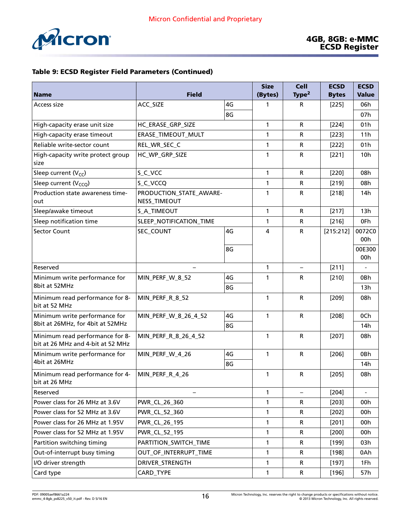

|                                                                      |                                         |    | <b>Size</b>  | <b>Cell</b>       | <b>ECSD</b>  | <b>ECSD</b>     |
|----------------------------------------------------------------------|-----------------------------------------|----|--------------|-------------------|--------------|-----------------|
| <b>Name</b>                                                          | <b>Field</b>                            |    | (Bytes)      | Type <sup>2</sup> | <b>Bytes</b> | <b>Value</b>    |
| Access size                                                          | ACC_SIZE                                | 4G | 1            | R                 | $[225]$      | 06h             |
|                                                                      |                                         | 8G |              |                   |              | 07h             |
| High-capacity erase unit size                                        | HC_ERASE_GRP_SIZE                       |    | 1            | $\mathsf{R}$      | $[224]$      | 01h             |
| High-capacity erase timeout                                          | ERASE_TIMEOUT_MULT                      |    | 1            | $\mathsf R$       | $[223]$      | 11h             |
| Reliable write-sector count                                          | REL_WR_SEC_C                            |    | 1            | $\mathsf R$       | $[222]$      | 01h             |
| High-capacity write protect group<br>size                            | HC_WP_GRP_SIZE                          |    | 1            | $\mathsf R$       | [221]        | 10 <sub>h</sub> |
| Sleep current $(V_{CC})$                                             | S_C_VCC                                 |    | $\mathbf{1}$ | $\mathsf{R}$      | $[220]$      | 08h             |
| Sleep current $(V_{CCO})$                                            | S_C_VCCQ                                |    |              | $\mathsf R$       | $[219]$      | 08h             |
| Production state awareness time-<br>out                              | PRODUCTION_STATE_AWARE-<br>NESS_TIMEOUT |    | 1            | $\mathsf R$       | $[218]$      | 14h             |
| Sleep/awake timeout                                                  | S_A_TIMEOUT                             |    | $\mathbf{1}$ | ${\sf R}$         | [217]        | 13h             |
| Sleep notification time                                              | SLEEP_NOTIFICATION_TIME                 |    | 1            | $\mathsf R$       | $[216]$      | 0Fh             |
| <b>Sector Count</b>                                                  | SEC_COUNT                               | 4G | 4            | ${\sf R}$         | [215:212]    | 0072C0<br>00h   |
|                                                                      |                                         | 8G |              |                   |              | 00E300<br>00h   |
| Reserved                                                             |                                         |    | $\mathbf{1}$ |                   | [211]        |                 |
| Minimum write performance for                                        | MIN_PERF_W_8_52                         | 4G | 1            | $\mathsf R$       | $[210]$      | 0Bh             |
| 8bit at 52MHz                                                        |                                         | 8G |              |                   |              | 13h             |
| Minimum read performance for 8-<br>bit at 52 MHz                     | MIN_PERF_R_8_52                         |    | $\mathbf{1}$ | ${\sf R}$         | $[209]$      | 08h             |
| Minimum write performance for                                        | MIN_PERF_W_8_26_4_52                    | 4G | $\mathbf{1}$ | ${\sf R}$         | $[208]$      | 0Ch             |
| 8bit at 26MHz, for 4bit at 52MHz                                     |                                         | 8G |              |                   |              | 14 <sub>h</sub> |
| Minimum read performance for 8-<br>bit at 26 MHz and 4-bit at 52 MHz | MIN_PERF_R_8_26_4_52                    |    | $\mathbf{1}$ | ${\sf R}$         | $[207]$      | 08h             |
| Minimum write performance for                                        | MIN_PERF_W_4_26                         | 4G | $\mathbf{1}$ | ${\sf R}$         | $[206]$      | 0Bh             |
| 4bit at 26MHz                                                        |                                         | 8G |              |                   |              | 14 <sub>h</sub> |
| Minimum read performance for 4-<br>bit at 26 MHz                     | MIN_PERF_R_4_26                         |    | 1            | $\mathsf R$       | $[205]$      | 08h             |
| Reserved                                                             |                                         |    | $\mathbf{1}$ |                   | $[204]$      |                 |
| Power class for 26 MHz at 3.6V                                       | PWR_CL_26_360                           |    | 1            | R                 | $[203]$      | 00h             |
| Power class for 52 MHz at 3.6V                                       | PWR_CL_52_360                           |    | 1            | $\mathsf R$       | $[202]$      | 00h             |
| Power class for 26 MHz at 1.95V                                      | PWR_CL_26_195                           |    | 1            | R                 | $[201]$      | 00h             |
| Power class for 52 MHz at 1.95V                                      | PWR_CL_52_195                           |    | 1            | $\mathsf R$       | $[200]$      | 00h             |
| Partition switching timing                                           | PARTITION_SWITCH_TIME                   |    | 1            | R                 | $[199]$      | 03h             |
| Out-of-interrupt busy timing                                         | OUT_OF_INTERRUPT_TIME                   |    | 1            | $\mathsf R$       | [198]        | 0Ah             |
| I/O driver strength                                                  | DRIVER_STRENGTH                         |    | 1            | R                 | $[197]$      | 1Fh             |
| Card type                                                            | CARD_TYPE                               |    | 1            | $\mathsf R$       | [196]        | 57h             |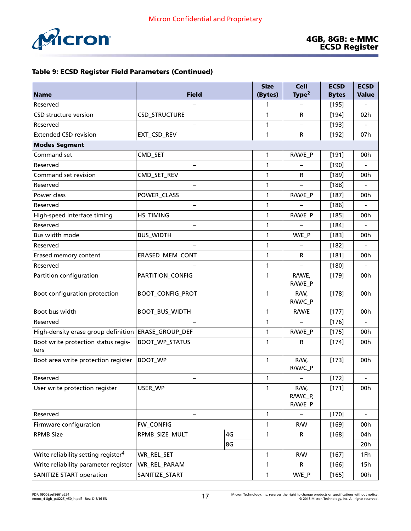|                                                 |                          | <b>Size</b>  | <b>Cell</b>                 | <b>ECSD</b>     | <b>ECSD</b>  |     |
|-------------------------------------------------|--------------------------|--------------|-----------------------------|-----------------|--------------|-----|
| <b>Name</b>                                     | <b>Field</b>             | (Bytes)      | Type <sup>2</sup>           | <b>Bytes</b>    | <b>Value</b> |     |
| Reserved                                        |                          | 1            |                             | [195]           |              |     |
| <b>CSD structure version</b>                    | CSD_STRUCTURE            |              | $\mathbf{1}$                | R               | $[194]$      | 02h |
| Reserved                                        |                          |              | $\mathbf{1}$                |                 | $[193]$      |     |
| <b>Extended CSD revision</b>                    | EXT_CSD_REV              |              | 1                           | R               | $[192]$      | 07h |
| <b>Modes Segment</b>                            |                          |              |                             |                 |              |     |
| Command set                                     | CMD_SET                  |              | $\mathbf{1}$                | R/W/E_P         | $[191]$      | 00h |
| Reserved                                        |                          |              | $\mathbf{1}$                |                 | [190]        |     |
| Command set revision                            | CMD_SET_REV              |              | $\mathbf{1}$                | R               | $[189]$      | 00h |
| Reserved                                        |                          |              | $\mathbf{1}$                |                 | $[188]$      |     |
| Power class                                     | POWER_CLASS              |              | $\mathbf{1}$                | R/W/E_P         | $[187]$      | 00h |
| Reserved                                        | —                        |              | $\mathbf{1}$                |                 | $[186]$      |     |
| High-speed interface timing                     | <b>HS_TIMING</b>         |              | $\mathbf{1}$                | R/W/E_P         | $[185]$      | 00h |
| Reserved                                        | $\overline{\phantom{0}}$ |              | $\mathbf{1}$                |                 | $[184]$      |     |
| Bus width mode                                  | <b>BUS_WIDTH</b>         |              | $\mathbf{1}$                | W/E_P           | $[183]$      | 00h |
| Reserved                                        |                          |              | $\mathbf{1}$                |                 | $[182]$      |     |
| Erased memory content                           | ERASED_MEM_CONT          | $\mathbf{1}$ | R                           | $[181]$         | 00h          |     |
| Reserved                                        |                          | $\mathbf{1}$ |                             | $[180]$         |              |     |
| Partition configuration                         | PARTITION_CONFIG         | $\mathbf{1}$ | R/W/E,<br>R/W/E_P           | $[179]$         | 00h          |     |
| Boot configuration protection                   | <b>BOOT_CONFIG_PROT</b>  | $\mathbf{1}$ | R/W,<br>R/W/C_P             | $[178]$         | 00h          |     |
| Boot bus width                                  | BOOT_BUS_WIDTH           | $\mathbf{1}$ | R/W/E                       | $[177]$         | 00h          |     |
| Reserved                                        |                          | $\mathbf{1}$ |                             | [176]           |              |     |
| High-density erase group definition             | ERASE_GROUP_DEF          | $\mathbf{1}$ | R/W/E_P                     | $[175]$         | 00h          |     |
| Boot write protection status regis-<br>ters     | <b>BOOT_WP_STATUS</b>    |              | 1                           | R               | $[174]$      | 00h |
| Boot area write protection register             | <b>BOOT_WP</b>           |              | 1                           | R/W,<br>R/W/C_P | $[173]$      | 00h |
| Reserved                                        |                          | 1            |                             | $[172]$         |              |     |
| User write protection register                  | USER_WP                  | $\mathbf{1}$ | R/W,<br>R/W/C_P,<br>R/W/E_P | $[171]$         | 00h          |     |
| Reserved                                        |                          | $\mathbf{1}$ |                             | $[170]$         |              |     |
| Firmware configuration                          | FW_CONFIG                | $\mathbf{1}$ | R/W                         | $[169]$         | 00h          |     |
| <b>RPMB Size</b>                                | RPMB_SIZE_MULT           | 4G           | $\mathbf{1}$                | R               | [168]        | 04h |
|                                                 |                          | 8G           |                             |                 |              | 20h |
| Write reliability setting register <sup>4</sup> | WR_REL_SET               | $\mathbf{1}$ | R/W                         | $[167]$         | 1Fh          |     |
| Write reliability parameter register            | WR_REL_PARAM             |              | $\mathbf{1}$                | R               | $[166]$      | 15h |
| <b>SANITIZE START operation</b>                 | SANITIZE_START           | $\mathbf{1}$ | W/E_P                       | [165]           | 00h          |     |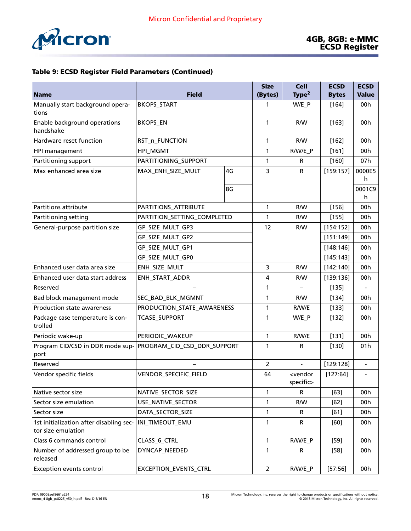

|                                                               | <b>Field</b>                |                | <b>Size</b>  | <b>Cell</b>                         | <b>ECSD</b>  | <b>ECSD</b>              |
|---------------------------------------------------------------|-----------------------------|----------------|--------------|-------------------------------------|--------------|--------------------------|
| <b>Name</b>                                                   |                             |                | (Bytes)      | Type <sup>2</sup>                   | <b>Bytes</b> | <b>Value</b>             |
| Manually start background opera-<br>tions                     | <b>BKOPS_START</b>          |                | 1            | W/E_P                               | $[164]$      | 00h                      |
| Enable background operations<br>handshake                     | <b>BKOPS_EN</b>             |                | 1            | R/W                                 | $[163]$      | 00h                      |
| Hardware reset function                                       | RST_n_FUNCTION              |                | $\mathbf{1}$ | R/W                                 | [162]        | 00h                      |
| HPI management                                                | HPI_MGMT                    |                | 1            | R/W/E_P                             | [161]        | 00h                      |
| Partitioning support                                          | PARTITIONING_SUPPORT        |                | 1            | R                                   | $[160]$      | 07h                      |
| Max enhanced area size                                        | MAX_ENH_SIZE_MULT           | 4G             | 3            | $\mathsf{R}$                        | [159:157]    | 0000E5                   |
|                                                               |                             |                |              |                                     |              | h                        |
|                                                               |                             | 8G             |              |                                     |              | 0001C9<br>h              |
| Partitions attribute                                          | PARTITIONS_ATTRIBUTE        |                | $\mathbf{1}$ | R/W                                 | $[156]$      | 00h                      |
| Partitioning setting                                          | PARTITION_SETTING_COMPLETED |                | 1            | R/W                                 | $[155]$      | 00h                      |
| General-purpose partition size                                | GP_SIZE_MULT_GP3            |                | 12           | R/W                                 | [154:152]    | 00h                      |
|                                                               | GP_SIZE_MULT_GP2            |                |              |                                     | [151:149]    | 00h                      |
|                                                               | GP_SIZE_MULT_GP1            |                |              |                                     | [148:146]    | 00h                      |
|                                                               | GP_SIZE_MULT_GP0            |                |              |                                     | [145:143]    | 00h                      |
| Enhanced user data area size                                  | ENH_SIZE_MULT               | 3              | R/W          | [142:140]                           | 00h          |                          |
| Enhanced user data start address                              | ENH_START_ADDR              |                | 4            | R/W                                 | [139:136]    | 00h                      |
| Reserved                                                      |                             |                | 1            |                                     | $[135]$      |                          |
| Bad block management mode                                     | SEC_BAD_BLK_MGMNT           |                | 1            | R/W                                 | $[134]$      | 00h                      |
| Production state awareness                                    | PRODUCTION_STATE_AWARENESS  |                | $\mathbf{1}$ | R/W/E                               | [133]        | 00h                      |
| Package case temperature is con-<br>trolled                   | <b>TCASE_SUPPORT</b>        |                | 1            | W/E P                               | $[132]$      | 00h                      |
| Periodic wake-up                                              | PERIODIC_WAKEUP             |                | $\mathbf{1}$ | R/W/E                               | $[131]$      | 00h                      |
| Program CID/CSD in DDR mode sup-<br>port                      | PROGRAM_CID_CSD_DDR_SUPPORT |                | 1            | R                                   | [130]        | 01 <sub>h</sub>          |
| Reserved                                                      |                             |                | 2            |                                     | [129:128]    |                          |
| Vendor specific fields                                        | VENDOR_SPECIFIC_FIELD       |                | 64           | <vendor<br>specific&gt;</vendor<br> | [127:64]     | $\overline{\phantom{a}}$ |
| Native sector size                                            | NATIVE_SECTOR_SIZE          |                | $\mathbf{1}$ | R                                   | $[63]$       | 00h                      |
| Sector size emulation                                         | USE_NATIVE_SECTOR           |                | 1            | R/W                                 | $[62]$       | 00h                      |
| Sector size                                                   | DATA_SECTOR_SIZE            |                | 1            | R                                   | $[61]$       | 00h                      |
| 1st initialization after disabling sec-<br>tor size emulation | INI_TIMEOUT_EMU             |                | $\mathbf{1}$ | R                                   | [60]         | 00h                      |
| Class 6 commands control                                      | CLASS_6_CTRL                |                | $\mathbf{1}$ | R/W/E_P                             | $[59]$       | 00h                      |
| Number of addressed group to be<br>released                   | DYNCAP_NEEDED               |                | $\mathbf{1}$ | R                                   | $[58]$       | 00h                      |
| <b>Exception events control</b>                               | EXCEPTION_EVENTS_CTRL       | $\overline{2}$ | R/W/E_P      | [57:56]                             | 00h          |                          |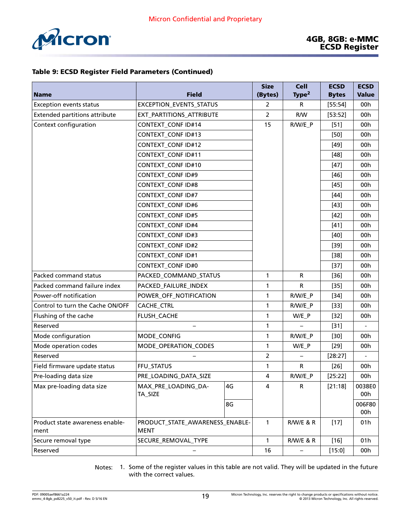

|                                      |                                 | <b>Size</b>    | <b>Cell</b>       | <b>ECSD</b>  | <b>ECSD</b>  |        |
|--------------------------------------|---------------------------------|----------------|-------------------|--------------|--------------|--------|
| <b>Name</b>                          | <b>Field</b>                    | (Bytes)        | Type <sup>2</sup> | <b>Bytes</b> | <b>Value</b> |        |
| <b>Exception events status</b>       | <b>EXCEPTION_EVENTS_STATUS</b>  | 2              | R.                | [55:54]      | 00h          |        |
| <b>Extended partitions attribute</b> | EXT_PARTITIONS_ATTRIBUTE        | 2              | R/W               | [53:52]      | 00h          |        |
| Context configuration                | <b>CONTEXT_CONF ID#14</b>       |                | 15                | R/W/E_P      | $[51]$       | 00h    |
|                                      | <b>CONTEXT_CONF ID#13</b>       |                |                   |              | $[50]$       | 00h    |
|                                      | <b>CONTEXT_CONF ID#12</b>       |                |                   |              | $[49]$       | 00h    |
|                                      | <b>CONTEXT_CONF ID#11</b>       |                |                   |              | $[48]$       | 00h    |
|                                      | <b>CONTEXT_CONF ID#10</b>       |                |                   |              | $[47]$       | 00h    |
|                                      | <b>CONTEXT_CONF ID#9</b>        |                |                   |              | $[46]$       | 00h    |
|                                      | <b>CONTEXT_CONF ID#8</b>        |                |                   |              | $[45]$       | 00h    |
|                                      | <b>CONTEXT_CONF ID#7</b>        |                |                   |              | $[44]$       | 00h    |
|                                      | <b>CONTEXT_CONF ID#6</b>        |                |                   |              | $[43]$       | 00h    |
|                                      | <b>CONTEXT_CONF ID#5</b>        |                |                   |              | $[42]$       | 00h    |
|                                      | <b>CONTEXT_CONF ID#4</b>        |                |                   |              | $[41]$       | 00h    |
|                                      | <b>CONTEXT_CONF ID#3</b>        |                |                   |              | $[40]$       | 00h    |
|                                      | <b>CONTEXT_CONF ID#2</b>        |                |                   |              | $[39]$       | 00h    |
|                                      | <b>CONTEXT_CONF ID#1</b>        |                |                   |              | $[38]$       | 00h    |
|                                      | <b>CONTEXT_CONF ID#0</b>        |                |                   | $[37]$       | 00h          |        |
| Packed command status                | PACKED_COMMAND_STATUS           | $\mathbf{1}$   | R                 | $[36]$       | 00h          |        |
| Packed command failure index         | PACKED_FAILURE_INDEX            | 1              | R                 | $[35]$       | 00h          |        |
| Power-off notification               | POWER_OFF_NOTIFICATION          | 1              | R/W/E_P           | $[34]$       | 00h          |        |
| Control to turn the Cache ON/OFF     | CACHE_CTRL                      | 1              | R/W/E_P           | $[33]$       | 00h          |        |
| Flushing of the cache                | FLUSH_CACHE                     | 1              | $W/E_P$           | $[32]$       | 00h          |        |
| Reserved                             |                                 |                | 1                 |              | $[31]$       |        |
| Mode configuration                   | MODE_CONFIG                     |                | 1                 | R/W/E_P      | $[30]$       | 00h    |
| Mode operation codes                 | MODE_OPERATION_CODES            | 1              | W/E_P             | $[29]$       | 00h          |        |
| Reserved                             |                                 | $\overline{2}$ |                   | [28:27]      |              |        |
| Field firmware update status         | FFU_STATUS                      | 1              | R                 | $[26]$       | 00h          |        |
| Pre-loading data size                | PRE_LOADING_DATA_SIZE           | 4              | R/W/E_P           | [25:22]      | 00h          |        |
| Max pre-loading data size            | MAX_PRE_LOADING_DA-             | 4G             | 4                 | R            | [21:18]      | 0038E0 |
|                                      | TA_SIZE                         |                |                   |              |              | 00h    |
|                                      |                                 | 8G             |                   |              |              | 006F80 |
|                                      |                                 |                |                   |              |              | 00h    |
| Product state awareness enable-      | PRODUCT_STATE_AWARENESS_ENABLE- |                | $\mathbf{1}$      | R/W/E & R    | $[17]$       | 01h    |
| ment                                 | <b>MENT</b>                     |                |                   |              |              |        |
| Secure removal type                  | SECURE_REMOVAL_TYPE             |                | $\mathbf{1}$      | R/W/E & R    | $[16]$       | 01h    |
| Reserved                             |                                 | 16             |                   | [15:0]       | 00h          |        |

Notes: 1. Some of the register values in this table are not valid. They will be updated in the future with the correct values.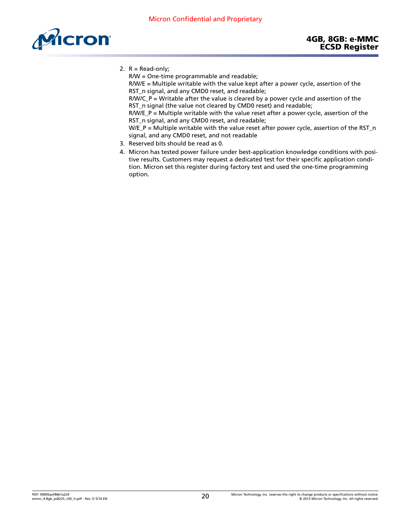<span id="page-19-0"></span>

2.  $R = Read-only;$ 

R/W = One-time programmable and readable;

R/W/E = Multiple writable with the value kept after a power cycle, assertion of the RST\_n signal, and any CMD0 reset, and readable;

R/W/C\_P = Writable after the value is cleared by a power cycle and assertion of the RST\_n signal (the value not cleared by CMD0 reset) and readable;

 $R/W/E_P$  = Multiple writable with the value reset after a power cycle, assertion of the RST\_n signal, and any CMD0 reset, and readable;

 $W/E_P$  = Multiple writable with the value reset after power cycle, assertion of the RST\_n signal, and any CMD0 reset, and not readable

- 3. Reserved bits should be read as 0.
- 4. Micron has tested power failure under best-application knowledge conditions with positive results. Customers may request a dedicated test for their specific application condition. Micron set this register during factory test and used the one-time programming option.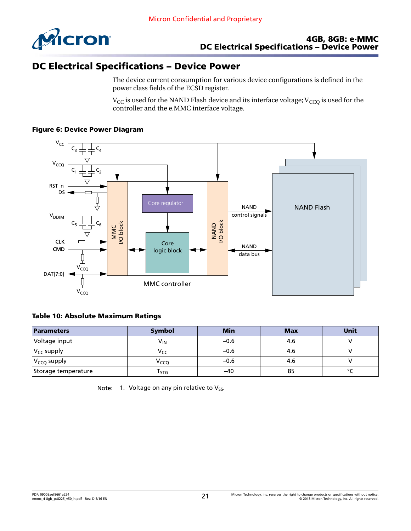

# DC Electrical Specifications – Device Power

The device current consumption for various device configurations is defined in the power class fields of the ECSD register.

 $V_{CC}$  is used for the NAND Flash device and its interface voltage;  $V_{CCO}$  is used for the controller and the e.MMC interface voltage.



#### Figure 6: Device Power Diagram

#### Table 10: Absolute Maximum Ratings

| Parameters          | Symbol           | <b>Min</b> | <b>Max</b> | Unit    |
|---------------------|------------------|------------|------------|---------|
| Voltage input       | V <sub>IN</sub>  | $-0.6$     | 4.6        |         |
| $ V_{CC}$ supply    | V <sub>CC</sub>  | $-0.6$     | 4.6        |         |
| $ V_{CCQ}$ supply   | V <sub>CCQ</sub> | $-0.6$     | 4.6        |         |
| Storage temperature | $\sqrt{5}$       | -40        | 85         | $\circ$ |

Note: 1. Voltage on any pin relative to  $V_{SS}$ .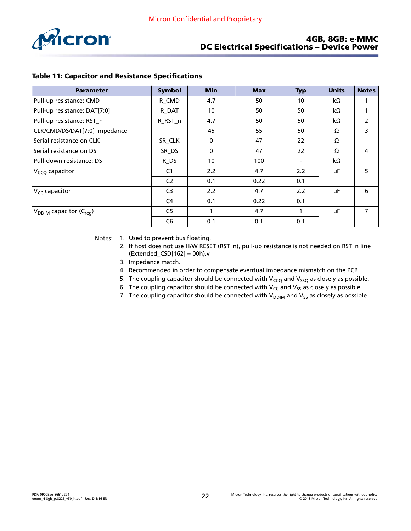![](_page_21_Picture_1.jpeg)

#### 4GB, 8GB: e·MMC DC Electrical Specifications – Device Power

| <b>Parameter</b>                                | <b>Symbol</b>  | <b>Min</b>  | <b>Max</b> | <b>Typ</b> | <b>Units</b> | <b>Notes</b>   |
|-------------------------------------------------|----------------|-------------|------------|------------|--------------|----------------|
| Pull-up resistance: CMD                         | R CMD          | 4.7         | 50         | 10         | kΩ           |                |
| Pull-up resistance: DAT[7:0]                    | R DAT          | 10          | 50         | 50         | kΩ           |                |
| Pull-up resistance: RST_n                       | R_RST_n        | 4.7         | 50         | 50         | kΩ           | 2              |
| CLK/CMD/DS/DAT[7:0] impedance                   |                | 45          | 55         | 50         | Ω            | 3              |
| Serial resistance on CLK                        | SR CLK         | 0           | 47         | 22         | Ω            |                |
| Serial resistance on DS                         | SR_DS          | $\mathbf 0$ | 47         | 22         | Ω            | 4              |
| Pull-down resistance: DS                        | R DS           | 10          | 100        |            | kΩ           |                |
| $VCCO$ capacitor                                | C <sub>1</sub> | 2.2         | 4.7        | 2.2        | μF           | 5              |
|                                                 | C <sub>2</sub> | 0.1         | 0.22       | 0.1        |              |                |
| $V_{CC}$ capacitor                              | C <sub>3</sub> | 2.2         | 4.7        | 2.2        | μF           | 6              |
|                                                 | C <sub>4</sub> | 0.1         | 0.22       | 0.1        |              |                |
| V <sub>DDIM</sub> capacitor (C <sub>rea</sub> ) | C <sub>5</sub> |             | 4.7        |            | μF           | $\overline{7}$ |
|                                                 | C <sub>6</sub> | 0.1         | 0.1        | 0.1        |              |                |

#### Table 11: Capacitor and Resistance Specifications

Notes: 1. Used to prevent bus floating.

- 2. If host does not use H/W RESET (RST\_n), pull-up resistance is not needed on RST\_n line (Extended\_CSD[162] = 00h).v
- 3. Impedance match.
- 4. Recommended in order to compensate eventual impedance mismatch on the PCB.
- 5. The coupling capacitor should be connected with  $V_{CCQ}$  and  $V_{SSQ}$  as closely as possible.
- 6. The coupling capacitor should be connected with  $V_{CC}$  and  $V_{SS}$  as closely as possible.
- 7. The coupling capacitor should be connected with  $V_{DDIM}$  and  $V_{SS}$  as closely as possible.